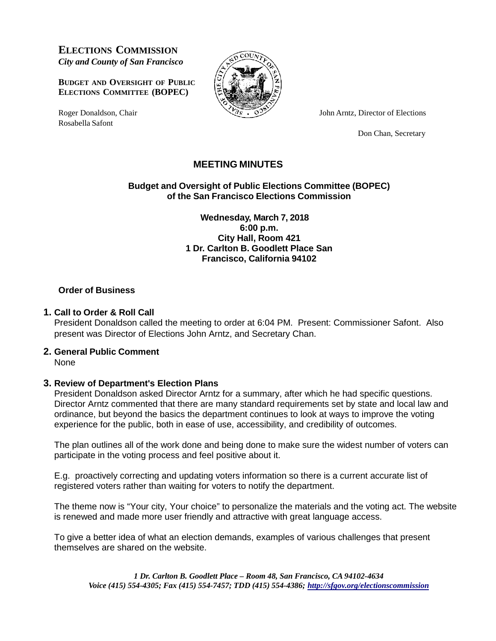**ELECTIONS COMMISSION** *City and County of San Francisco*

**BUDGET AND OVERSIGHT OF PUBLIC ELECTIONS COMMITTEE (BOPEC)**

Rosabella Safont



Roger Donaldson, Chair  $\sqrt{2s} \cdot \sqrt{3}$  John Arntz, Director of Elections

Don Chan, Secretary

# **MEETING MINUTES**

**Budget and Oversight of Public Elections Committee (BOPEC) of the San Francisco Elections Commission**

> **Wednesday, March 7, 2018 6:00 p.m. City Hall, Room 421 1 Dr. Carlton B. Goodlett Place San Francisco, California 94102**

#### **Order of Business**

#### **1. Call to Order & Roll Call**

President Donaldson called the meeting to order at 6:04 PM. Present: Commissioner Safont. Also present was Director of Elections John Arntz, and Secretary Chan.

## **2. General Public Comment**

None

## **3. Review of Department's Election Plans**

President Donaldson asked Director Arntz for a summary, after which he had specific questions. Director Arntz commented that there are many standard requirements set by state and local law and ordinance, but beyond the basics the department continues to look at ways to improve the voting experience for the public, both in ease of use, accessibility, and credibility of outcomes.

The plan outlines all of the work done and being done to make sure the widest number of voters can participate in the voting process and feel positive about it.

E.g. proactively correcting and updating voters information so there is a current accurate list of registered voters rather than waiting for voters to notify the department.

The theme now is "Your city, Your choice" to personalize the materials and the voting act. The website is renewed and made more user friendly and attractive with great language access.

To give a better idea of what an election demands, examples of various challenges that present themselves are shared on the website.

*1 Dr. Carlton B. Goodlett Place – Room 48, San Francisco, CA 94102-4634 Voice (415) 554-4305; Fax (415) 554-7457; TDD (415) 554-4386; <http://sfgov.org/electionscommission>*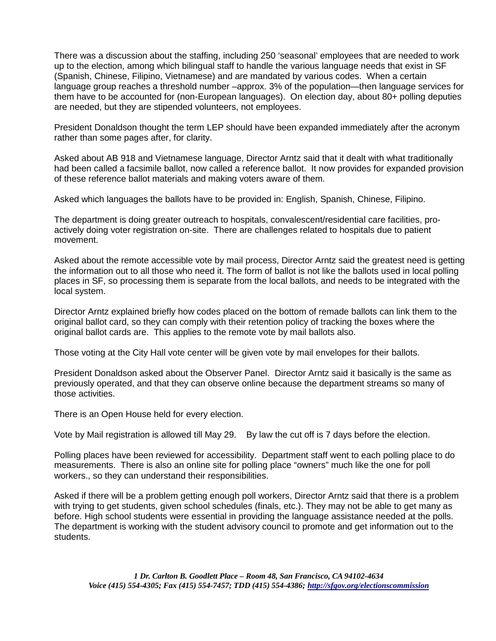There was a discussion about the staffing, including 250 'seasonal' employees that are needed to work up to the election, among which bilingual staff to handle the various language needs that exist in SF (Spanish, Chinese, Filipino, Vietnamese) and are mandated by various codes. When a certain language group reaches a threshold number –approx. 3% of the population—then language services for them have to be accounted for (non-European languages). On election day, about 80+ polling deputies are needed, but they are stipended volunteers, not employees.

President Donaldson thought the term LEP should have been expanded immediately after the acronym rather than some pages after, for clarity.

Asked about AB 918 and Vietnamese language, Director Arntz said that it dealt with what traditionally had been called a facsimile ballot, now called a reference ballot. It now provides for expanded provision of these reference ballot materials and making voters aware of them.

Asked which languages the ballots have to be provided in: English, Spanish, Chinese, Filipino.

The department is doing greater outreach to hospitals, convalescent/residential care facilities, proactively doing voter registration on-site. There are challenges related to hospitals due to patient movement.

Asked about the remote accessible vote by mail process, Director Arntz said the greatest need is getting the information out to all those who need it. The form of ballot is not like the ballots used in local polling places in SF, so processing them is separate from the local ballots, and needs to be integrated with the local system.

Director Arntz explained briefly how codes placed on the bottom of remade ballots can link them to the original ballot card, so they can comply with their retention policy of tracking the boxes where the original ballot cards are. This applies to the remote vote by mail ballots also.

Those voting at the City Hall vote center will be given vote by mail envelopes for their ballots.

President Donaldson asked about the Observer Panel. Director Arntz said it basically is the same as previously operated, and that they can observe online because the department streams so many of those activities.

There is an Open House held for every election.

Vote by Mail registration is allowed till May 29. By law the cut off is 7 days before the election.

Polling places have been reviewed for accessibility. Department staff went to each polling place to do measurements. There is also an online site for polling place "owners" much like the one for poll workers., so they can understand their responsibilities.

Asked if there will be a problem getting enough poll workers, Director Arntz said that there is a problem with trying to get students, given school schedules (finals, etc.). They may not be able to get many as before. High school students were essential in providing the language assistance needed at the polls. The department is working with the student advisory council to promote and get information out to the students.

*1 Dr. Carlton B. Goodlett Place – Room 48, San Francisco, CA 94102-4634 Voice (415) 554-4305; Fax (415) 554-7457; TDD (415) 554-4386; <http://sfgov.org/electionscommission>*